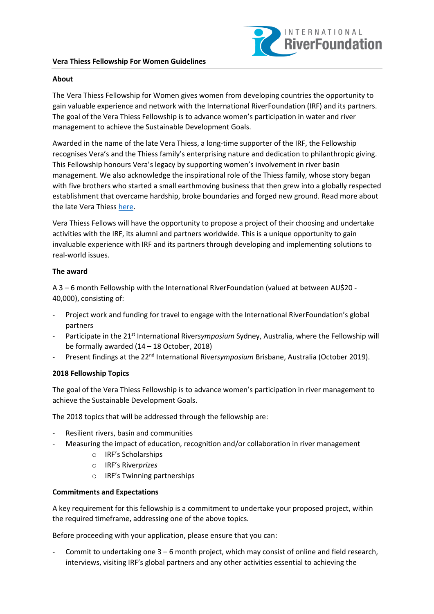

# **About**

The Vera Thiess Fellowship for Women gives women from developing countries the opportunity to gain valuable experience and network with the International RiverFoundation (IRF) and its partners. The goal of the Vera Thiess Fellowship is to advance women's participation in water and river management to achieve the Sustainable Development Goals.

Awarded in the name of the late Vera Thiess, a long-time supporter of the IRF, the Fellowship recognises Vera's and the Thiess family's enterprising nature and dedication to philanthropic giving. This Fellowship honours Vera's legacy by supporting women's involvement in river basin management. We also acknowledge the inspirational role of the Thiess family, whose story began with five brothers who started a small earthmoving business that then grew into a globally respected establishment that overcame hardship, broke boundaries and forged new ground. Read more about the late Vera Thies[s here.](https://open.abc.net.au/explore/83775)

Vera Thiess Fellows will have the opportunity to propose a project of their choosing and undertake activities with the IRF, its alumni and partners worldwide. This is a unique opportunity to gain invaluable experience with IRF and its partners through developing and implementing solutions to real-world issues.

### **The award**

A 3 – 6 month Fellowship with the International RiverFoundation (valued at between AU\$20 - 40,000), consisting of:

- Project work and funding for travel to engage with the International RiverFoundation's global partners
- Participate in the 21<sup>st</sup> International Riversymposium Sydney, Australia, where the Fellowship will be formally awarded (14 – 18 October, 2018)
- Present findings at the 22<sup>nd</sup> International Riversymposium Brisbane, Australia (October 2019).

# **2018 Fellowship Topics**

The goal of the Vera Thiess Fellowship is to advance women's participation in river management to achieve the Sustainable Development Goals.

The 2018 topics that will be addressed through the fellowship are:

- Resilient rivers, basin and communities
- Measuring the impact of education, recognition and/or collaboration in river management
	- o IRF's Scholarships
	- o IRF's River*prizes*
	- o IRF's Twinning partnerships

# **Commitments and Expectations**

A key requirement for this fellowship is a commitment to undertake your proposed project, within the required timeframe, addressing one of the above topics.

Before proceeding with your application, please ensure that you can:

Commit to undertaking one  $3 - 6$  month project, which may consist of online and field research, interviews, visiting IRF's global partners and any other activities essential to achieving the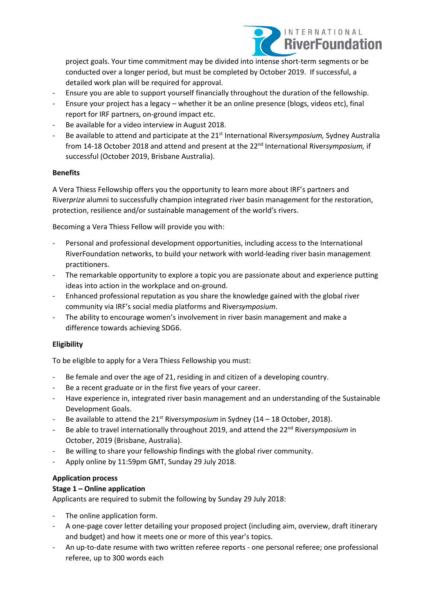

project goals. Your time commitment may be divided into intense short-term segments or be conducted over a longer period, but must be completed by October 2019. If successful, a detailed work plan will be required for approval.

- Ensure you are able to support yourself financially throughout the duration of the fellowship.
- Ensure your project has a legacy whether it be an online presence (blogs, videos etc), final report for IRF partners, on-ground impact etc.
- Be available for a video interview in August 2018.
- Be available to attend and participate at the 21<sup>st</sup> International Riversymposium, Sydney Australia from 14-18 October 2018 and attend and present at the 22<sup>nd</sup> International Riversymposium, if successful (October 2019, Brisbane Australia).

### **Benefits**

A Vera Thiess Fellowship offers you the opportunity to learn more about IRF's partners and River*prize* alumni to successfully champion integrated river basin management for the restoration, protection, resilience and/or sustainable management of the world's rivers.

Becoming a Vera Thiess Fellow will provide you with:

- Personal and professional development opportunities, including access to the International RiverFoundation networks, to build your network with world-leading river basin management practitioners.
- The remarkable opportunity to explore a topic you are passionate about and experience putting ideas into action in the workplace and on-ground.
- Enhanced professional reputation as you share the knowledge gained with the global river community via IRF's social media platforms and River*symposium*.
- The ability to encourage women's involvement in river basin management and make a difference towards achieving SDG6.

# **Eligibility**

To be eligible to apply for a Vera Thiess Fellowship you must:

- Be female and over the age of 21, residing in and citizen of a developing country.
- Be a recent graduate or in the first five years of your career.
- Have experience in, integrated river basin management and an understanding of the Sustainable Development Goals.
- Be available to attend the  $21^{st}$  Riversymposium in Sydney ( $14 18$  October, 2018).
- Be able to travel internationally throughout 2019, and attend the 22<sup>nd</sup> Riversymposium in October, 2019 (Brisbane, Australia).
- Be willing to share your fellowship findings with the global river community.
- Apply online by 11:59pm GMT, Sunday 29 July 2018.

#### **Application process**

# **Stage 1 – Online application**

Applicants are required to submit the following by Sunday 29 July 2018:

- The online application form.
- A one-page cover letter detailing your proposed project (including aim, overview, draft itinerary and budget) and how it meets one or more of this year's topics.
- An up-to-date resume with two written referee reports one personal referee; one professional referee, up to 300 words each